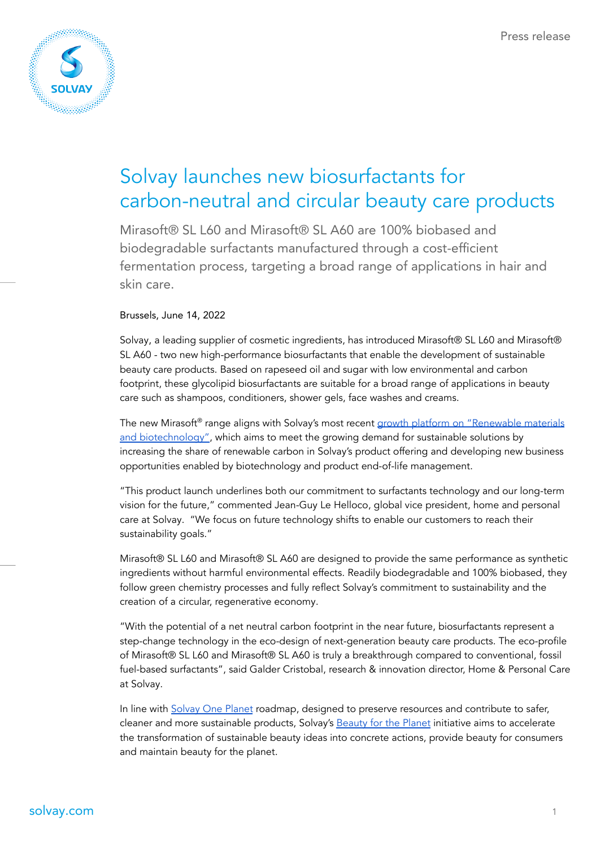

## Solvay launches new biosurfactants for carbon-neutral and circular beauty care products

Mirasoft® SL L60 and Mirasoft® SL A60 are 100% biobased and biodegradable surfactants manufactured through a cost-efficient fermentation process, targeting a broad range of applications in hair and skin care.

#### Brussels, June 14, 2022

Solvay, a leading supplier of cosmetic ingredients, has introduced Mirasoft® SL L60 and Mirasoft® SL A60 - two new high-performance biosurfactants that enable the development of sustainable beauty care products. Based on rapeseed oil and sugar with low environmental and carbon footprint, these glycolipid biosurfactants are suitable for a broad range of applications in beauty care such as shampoos, conditioners, shower gels, face washes and creams.

The new Mirasoft® range aligns with Solvay's most recent growth platform on ["Renewable](https://www.solvay.com/en/press-release/solvay-launches-new-growth-platform-focused-renewable-materials-and-biotechnology) materials and [biotechnology"](https://www.solvay.com/en/press-release/solvay-launches-new-growth-platform-focused-renewable-materials-and-biotechnology), which aims to meet the growing demand for sustainable solutions by increasing the share of renewable carbon in Solvay's product offering and developing new business opportunities enabled by biotechnology and product end-of-life management.

"This product launch underlines both our commitment to surfactants technology and our long-term vision for the future," commented Jean-Guy Le Helloco, global vice president, home and personal care at Solvay. "We focus on future technology shifts to enable our customers to reach their sustainability goals."

Mirasoft® SL L60 and Mirasoft® SL A60 are designed to provide the same performance as synthetic ingredients without harmful environmental effects. Readily biodegradable and 100% biobased, they follow green chemistry processes and fully reflect Solvay's commitment to sustainability and the creation of a circular, regenerative economy.

"With the potential of a net neutral carbon footprint in the near future, biosurfactants represent a step-change technology in the eco-design of next-generation beauty care products. The eco-profile of Mirasoft® SL L60 and Mirasoft® SL A60 is truly a breakthrough compared to conventional, fossil fuel-based surfactants", said Galder Cristobal, research & innovation director, Home & Personal Care at Solvay.

In line with [Solvay](https://www.solvay.com/en/sustainability) One Planet roadmap, designed to preserve resources and contribute to safer, cleaner and more sustainable products, Solvay's [Beauty](https://www.solvay.com/en/solutions-market/consumer-goods/personal-care/beauty-planet) for the Planet initiative aims to accelerate the transformation of sustainable beauty ideas into concrete actions, provide beauty for consumers and maintain beauty for the planet.